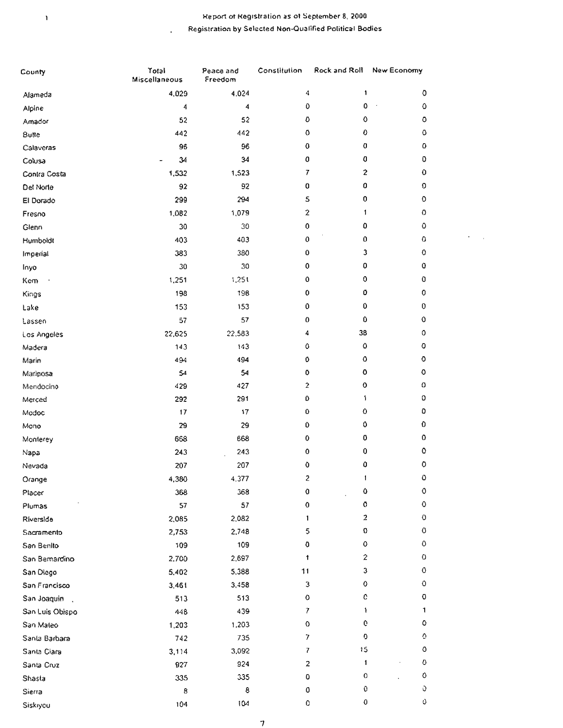## Report of Registration as of September 8, 2000 Registration by Selected Non-Qualified Political Bodies

 $\epsilon = 1$ 

J.

 $\mathbf{1}$ 

| 4.024<br>0<br>4,029<br>4<br>1<br>Alameda<br>0<br>0<br>$\mathbf 0$<br>4<br>4<br>Alpine<br>52<br>O<br>0<br>0<br>52<br>Amador<br>0<br>٥<br>442<br>0<br>442<br><b>Butte</b><br>0<br>0<br>٥<br>96<br>96<br>Calaveras<br>0<br>0<br>34<br>0<br>34<br>Colusa<br>7<br>2<br>0<br>1,523<br>1,532<br>Contra Costa<br>0<br>92<br>0<br>0<br>92<br>Del Norte<br>294<br>5<br>0<br>٥<br>299<br>El Dorado<br>$\mathbf 2$<br>1,079<br>٥<br>1.082<br>1<br>Fresno<br>٥<br>30<br>30<br>0<br>0<br>Glenn<br>0<br>0<br>403<br>٥<br>403<br>Humboldt<br>3<br>0<br>0<br>383<br>380<br>Imperial<br>0<br>30<br>0<br>0<br>30<br>0<br>1,251<br>0<br>0<br>1,251<br>0<br>0<br>198<br>0<br>198<br>Kings<br>0<br>0<br>0<br>153<br>153<br>Lake<br>0<br>0<br>0<br>57<br>57<br>38<br>0<br>22,583<br>22,625<br>4<br>$\pmb{\mathsf{O}}$<br>0<br>143<br>٥<br>143<br>$\mathbf 0$<br>o<br>494<br>0<br>494<br>$\mathbf 0$<br>$\mathsf{o}$<br>54<br>0<br>54<br>$\pmb{\mathsf{O}}$<br>0<br>427<br>$\boldsymbol{2}$<br>429<br>Mendocino<br>0<br>0<br>1<br>291<br>292<br>O<br>$\mathbf 0$<br>17<br>17<br>0<br>0<br>$\pmb{0}$<br>0<br>29<br>29<br>Mono<br>0<br>0<br>668<br>0<br>668<br>٥<br>0<br>243<br>0<br>243<br>û<br>0<br>207<br>0<br>207<br>$\mathsf 0$<br>$\overline{\mathbf{c}}$<br>4.377<br>4,380<br>Orange<br>٥<br>٥<br>368<br>0<br>368<br>$\mbox{\bf0}$<br>٥<br>57<br>57<br>0<br>Plumas<br>2<br>0<br>2,082<br>Riverside<br>2,085<br>1<br>0<br>0<br>5<br>2,748<br>2,753<br>Sacramento<br>0<br>٥<br>0<br>109<br>San Benito<br>109<br>2<br>0<br>2,697<br>1<br>2,700<br>San Bemardino<br>3<br>٥<br>5,388<br>11<br>5,402<br>San Diego<br>0<br>0<br>3<br>3,458<br>San Francisco<br>3,461<br>c<br>0<br>513<br>$\circ$<br>513<br>$\overline{\mathcal{L}}$<br>1<br>1<br>439<br>San Luis Obispo<br>448<br>0<br>٥<br>o<br>San Maleo<br>1,203<br>1,203<br>0<br>Ō<br>7<br>735<br>Santa Barbara<br>742<br>15<br>٥<br>7<br>3,092<br>Santa Clara<br>3,114<br>O<br>1<br>924<br>2<br>Santa Cruz<br>927<br>0<br>0<br>335<br>0<br>335<br>Shasta<br>Ù<br>0<br>8<br>0<br>8<br>Sierra<br>O<br>0<br>104<br>0<br>104<br>Siskiyou | County      | Total<br>Miscellaneous | Peace and<br>Freedom | Constitution | Rock and Roll | New Economy |
|-----------------------------------------------------------------------------------------------------------------------------------------------------------------------------------------------------------------------------------------------------------------------------------------------------------------------------------------------------------------------------------------------------------------------------------------------------------------------------------------------------------------------------------------------------------------------------------------------------------------------------------------------------------------------------------------------------------------------------------------------------------------------------------------------------------------------------------------------------------------------------------------------------------------------------------------------------------------------------------------------------------------------------------------------------------------------------------------------------------------------------------------------------------------------------------------------------------------------------------------------------------------------------------------------------------------------------------------------------------------------------------------------------------------------------------------------------------------------------------------------------------------------------------------------------------------------------------------------------------------------------------------------------------------------------------------------------------------------------------------------------------------------------------------------------------------------------------------------------------------------------------------------------------------------------------------------------------------------------------------------------------------------------------------------------------------|-------------|------------------------|----------------------|--------------|---------------|-------------|
|                                                                                                                                                                                                                                                                                                                                                                                                                                                                                                                                                                                                                                                                                                                                                                                                                                                                                                                                                                                                                                                                                                                                                                                                                                                                                                                                                                                                                                                                                                                                                                                                                                                                                                                                                                                                                                                                                                                                                                                                                                                                 |             |                        |                      |              |               |             |
|                                                                                                                                                                                                                                                                                                                                                                                                                                                                                                                                                                                                                                                                                                                                                                                                                                                                                                                                                                                                                                                                                                                                                                                                                                                                                                                                                                                                                                                                                                                                                                                                                                                                                                                                                                                                                                                                                                                                                                                                                                                                 |             |                        |                      |              |               |             |
|                                                                                                                                                                                                                                                                                                                                                                                                                                                                                                                                                                                                                                                                                                                                                                                                                                                                                                                                                                                                                                                                                                                                                                                                                                                                                                                                                                                                                                                                                                                                                                                                                                                                                                                                                                                                                                                                                                                                                                                                                                                                 |             |                        |                      |              |               |             |
|                                                                                                                                                                                                                                                                                                                                                                                                                                                                                                                                                                                                                                                                                                                                                                                                                                                                                                                                                                                                                                                                                                                                                                                                                                                                                                                                                                                                                                                                                                                                                                                                                                                                                                                                                                                                                                                                                                                                                                                                                                                                 |             |                        |                      |              |               |             |
|                                                                                                                                                                                                                                                                                                                                                                                                                                                                                                                                                                                                                                                                                                                                                                                                                                                                                                                                                                                                                                                                                                                                                                                                                                                                                                                                                                                                                                                                                                                                                                                                                                                                                                                                                                                                                                                                                                                                                                                                                                                                 |             |                        |                      |              |               |             |
|                                                                                                                                                                                                                                                                                                                                                                                                                                                                                                                                                                                                                                                                                                                                                                                                                                                                                                                                                                                                                                                                                                                                                                                                                                                                                                                                                                                                                                                                                                                                                                                                                                                                                                                                                                                                                                                                                                                                                                                                                                                                 |             |                        |                      |              |               |             |
|                                                                                                                                                                                                                                                                                                                                                                                                                                                                                                                                                                                                                                                                                                                                                                                                                                                                                                                                                                                                                                                                                                                                                                                                                                                                                                                                                                                                                                                                                                                                                                                                                                                                                                                                                                                                                                                                                                                                                                                                                                                                 |             |                        |                      |              |               |             |
|                                                                                                                                                                                                                                                                                                                                                                                                                                                                                                                                                                                                                                                                                                                                                                                                                                                                                                                                                                                                                                                                                                                                                                                                                                                                                                                                                                                                                                                                                                                                                                                                                                                                                                                                                                                                                                                                                                                                                                                                                                                                 |             |                        |                      |              |               |             |
|                                                                                                                                                                                                                                                                                                                                                                                                                                                                                                                                                                                                                                                                                                                                                                                                                                                                                                                                                                                                                                                                                                                                                                                                                                                                                                                                                                                                                                                                                                                                                                                                                                                                                                                                                                                                                                                                                                                                                                                                                                                                 |             |                        |                      |              |               |             |
|                                                                                                                                                                                                                                                                                                                                                                                                                                                                                                                                                                                                                                                                                                                                                                                                                                                                                                                                                                                                                                                                                                                                                                                                                                                                                                                                                                                                                                                                                                                                                                                                                                                                                                                                                                                                                                                                                                                                                                                                                                                                 |             |                        |                      |              |               |             |
|                                                                                                                                                                                                                                                                                                                                                                                                                                                                                                                                                                                                                                                                                                                                                                                                                                                                                                                                                                                                                                                                                                                                                                                                                                                                                                                                                                                                                                                                                                                                                                                                                                                                                                                                                                                                                                                                                                                                                                                                                                                                 |             |                        |                      |              |               |             |
|                                                                                                                                                                                                                                                                                                                                                                                                                                                                                                                                                                                                                                                                                                                                                                                                                                                                                                                                                                                                                                                                                                                                                                                                                                                                                                                                                                                                                                                                                                                                                                                                                                                                                                                                                                                                                                                                                                                                                                                                                                                                 |             |                        |                      |              |               |             |
|                                                                                                                                                                                                                                                                                                                                                                                                                                                                                                                                                                                                                                                                                                                                                                                                                                                                                                                                                                                                                                                                                                                                                                                                                                                                                                                                                                                                                                                                                                                                                                                                                                                                                                                                                                                                                                                                                                                                                                                                                                                                 |             |                        |                      |              |               |             |
|                                                                                                                                                                                                                                                                                                                                                                                                                                                                                                                                                                                                                                                                                                                                                                                                                                                                                                                                                                                                                                                                                                                                                                                                                                                                                                                                                                                                                                                                                                                                                                                                                                                                                                                                                                                                                                                                                                                                                                                                                                                                 | Inyo        |                        |                      |              |               |             |
|                                                                                                                                                                                                                                                                                                                                                                                                                                                                                                                                                                                                                                                                                                                                                                                                                                                                                                                                                                                                                                                                                                                                                                                                                                                                                                                                                                                                                                                                                                                                                                                                                                                                                                                                                                                                                                                                                                                                                                                                                                                                 | Kem         |                        |                      |              |               |             |
|                                                                                                                                                                                                                                                                                                                                                                                                                                                                                                                                                                                                                                                                                                                                                                                                                                                                                                                                                                                                                                                                                                                                                                                                                                                                                                                                                                                                                                                                                                                                                                                                                                                                                                                                                                                                                                                                                                                                                                                                                                                                 |             |                        |                      |              |               |             |
|                                                                                                                                                                                                                                                                                                                                                                                                                                                                                                                                                                                                                                                                                                                                                                                                                                                                                                                                                                                                                                                                                                                                                                                                                                                                                                                                                                                                                                                                                                                                                                                                                                                                                                                                                                                                                                                                                                                                                                                                                                                                 |             |                        |                      |              |               |             |
|                                                                                                                                                                                                                                                                                                                                                                                                                                                                                                                                                                                                                                                                                                                                                                                                                                                                                                                                                                                                                                                                                                                                                                                                                                                                                                                                                                                                                                                                                                                                                                                                                                                                                                                                                                                                                                                                                                                                                                                                                                                                 | Lassen      |                        |                      |              |               |             |
|                                                                                                                                                                                                                                                                                                                                                                                                                                                                                                                                                                                                                                                                                                                                                                                                                                                                                                                                                                                                                                                                                                                                                                                                                                                                                                                                                                                                                                                                                                                                                                                                                                                                                                                                                                                                                                                                                                                                                                                                                                                                 | Los Angeles |                        |                      |              |               |             |
|                                                                                                                                                                                                                                                                                                                                                                                                                                                                                                                                                                                                                                                                                                                                                                                                                                                                                                                                                                                                                                                                                                                                                                                                                                                                                                                                                                                                                                                                                                                                                                                                                                                                                                                                                                                                                                                                                                                                                                                                                                                                 | Madera      |                        |                      |              |               |             |
|                                                                                                                                                                                                                                                                                                                                                                                                                                                                                                                                                                                                                                                                                                                                                                                                                                                                                                                                                                                                                                                                                                                                                                                                                                                                                                                                                                                                                                                                                                                                                                                                                                                                                                                                                                                                                                                                                                                                                                                                                                                                 | Marin       |                        |                      |              |               |             |
|                                                                                                                                                                                                                                                                                                                                                                                                                                                                                                                                                                                                                                                                                                                                                                                                                                                                                                                                                                                                                                                                                                                                                                                                                                                                                                                                                                                                                                                                                                                                                                                                                                                                                                                                                                                                                                                                                                                                                                                                                                                                 | Mariposa    |                        |                      |              |               |             |
|                                                                                                                                                                                                                                                                                                                                                                                                                                                                                                                                                                                                                                                                                                                                                                                                                                                                                                                                                                                                                                                                                                                                                                                                                                                                                                                                                                                                                                                                                                                                                                                                                                                                                                                                                                                                                                                                                                                                                                                                                                                                 |             |                        |                      |              |               |             |
|                                                                                                                                                                                                                                                                                                                                                                                                                                                                                                                                                                                                                                                                                                                                                                                                                                                                                                                                                                                                                                                                                                                                                                                                                                                                                                                                                                                                                                                                                                                                                                                                                                                                                                                                                                                                                                                                                                                                                                                                                                                                 | Merced      |                        |                      |              |               |             |
|                                                                                                                                                                                                                                                                                                                                                                                                                                                                                                                                                                                                                                                                                                                                                                                                                                                                                                                                                                                                                                                                                                                                                                                                                                                                                                                                                                                                                                                                                                                                                                                                                                                                                                                                                                                                                                                                                                                                                                                                                                                                 | Modoc       |                        |                      |              |               |             |
|                                                                                                                                                                                                                                                                                                                                                                                                                                                                                                                                                                                                                                                                                                                                                                                                                                                                                                                                                                                                                                                                                                                                                                                                                                                                                                                                                                                                                                                                                                                                                                                                                                                                                                                                                                                                                                                                                                                                                                                                                                                                 |             |                        |                      |              |               |             |
|                                                                                                                                                                                                                                                                                                                                                                                                                                                                                                                                                                                                                                                                                                                                                                                                                                                                                                                                                                                                                                                                                                                                                                                                                                                                                                                                                                                                                                                                                                                                                                                                                                                                                                                                                                                                                                                                                                                                                                                                                                                                 | Monterey    |                        |                      |              |               |             |
|                                                                                                                                                                                                                                                                                                                                                                                                                                                                                                                                                                                                                                                                                                                                                                                                                                                                                                                                                                                                                                                                                                                                                                                                                                                                                                                                                                                                                                                                                                                                                                                                                                                                                                                                                                                                                                                                                                                                                                                                                                                                 | Napa        |                        |                      |              |               |             |
|                                                                                                                                                                                                                                                                                                                                                                                                                                                                                                                                                                                                                                                                                                                                                                                                                                                                                                                                                                                                                                                                                                                                                                                                                                                                                                                                                                                                                                                                                                                                                                                                                                                                                                                                                                                                                                                                                                                                                                                                                                                                 | Nevada      |                        |                      |              |               |             |
|                                                                                                                                                                                                                                                                                                                                                                                                                                                                                                                                                                                                                                                                                                                                                                                                                                                                                                                                                                                                                                                                                                                                                                                                                                                                                                                                                                                                                                                                                                                                                                                                                                                                                                                                                                                                                                                                                                                                                                                                                                                                 |             |                        |                      |              |               |             |
|                                                                                                                                                                                                                                                                                                                                                                                                                                                                                                                                                                                                                                                                                                                                                                                                                                                                                                                                                                                                                                                                                                                                                                                                                                                                                                                                                                                                                                                                                                                                                                                                                                                                                                                                                                                                                                                                                                                                                                                                                                                                 | Placer      |                        |                      |              |               |             |
|                                                                                                                                                                                                                                                                                                                                                                                                                                                                                                                                                                                                                                                                                                                                                                                                                                                                                                                                                                                                                                                                                                                                                                                                                                                                                                                                                                                                                                                                                                                                                                                                                                                                                                                                                                                                                                                                                                                                                                                                                                                                 |             |                        |                      |              |               |             |
|                                                                                                                                                                                                                                                                                                                                                                                                                                                                                                                                                                                                                                                                                                                                                                                                                                                                                                                                                                                                                                                                                                                                                                                                                                                                                                                                                                                                                                                                                                                                                                                                                                                                                                                                                                                                                                                                                                                                                                                                                                                                 |             |                        |                      |              |               |             |
|                                                                                                                                                                                                                                                                                                                                                                                                                                                                                                                                                                                                                                                                                                                                                                                                                                                                                                                                                                                                                                                                                                                                                                                                                                                                                                                                                                                                                                                                                                                                                                                                                                                                                                                                                                                                                                                                                                                                                                                                                                                                 |             |                        |                      |              |               |             |
|                                                                                                                                                                                                                                                                                                                                                                                                                                                                                                                                                                                                                                                                                                                                                                                                                                                                                                                                                                                                                                                                                                                                                                                                                                                                                                                                                                                                                                                                                                                                                                                                                                                                                                                                                                                                                                                                                                                                                                                                                                                                 |             |                        |                      |              |               |             |
|                                                                                                                                                                                                                                                                                                                                                                                                                                                                                                                                                                                                                                                                                                                                                                                                                                                                                                                                                                                                                                                                                                                                                                                                                                                                                                                                                                                                                                                                                                                                                                                                                                                                                                                                                                                                                                                                                                                                                                                                                                                                 |             |                        |                      |              |               |             |
|                                                                                                                                                                                                                                                                                                                                                                                                                                                                                                                                                                                                                                                                                                                                                                                                                                                                                                                                                                                                                                                                                                                                                                                                                                                                                                                                                                                                                                                                                                                                                                                                                                                                                                                                                                                                                                                                                                                                                                                                                                                                 |             |                        |                      |              |               |             |
|                                                                                                                                                                                                                                                                                                                                                                                                                                                                                                                                                                                                                                                                                                                                                                                                                                                                                                                                                                                                                                                                                                                                                                                                                                                                                                                                                                                                                                                                                                                                                                                                                                                                                                                                                                                                                                                                                                                                                                                                                                                                 |             |                        |                      |              |               |             |
|                                                                                                                                                                                                                                                                                                                                                                                                                                                                                                                                                                                                                                                                                                                                                                                                                                                                                                                                                                                                                                                                                                                                                                                                                                                                                                                                                                                                                                                                                                                                                                                                                                                                                                                                                                                                                                                                                                                                                                                                                                                                 | San Joaquin |                        |                      |              |               |             |
|                                                                                                                                                                                                                                                                                                                                                                                                                                                                                                                                                                                                                                                                                                                                                                                                                                                                                                                                                                                                                                                                                                                                                                                                                                                                                                                                                                                                                                                                                                                                                                                                                                                                                                                                                                                                                                                                                                                                                                                                                                                                 |             |                        |                      |              |               |             |
|                                                                                                                                                                                                                                                                                                                                                                                                                                                                                                                                                                                                                                                                                                                                                                                                                                                                                                                                                                                                                                                                                                                                                                                                                                                                                                                                                                                                                                                                                                                                                                                                                                                                                                                                                                                                                                                                                                                                                                                                                                                                 |             |                        |                      |              |               |             |
|                                                                                                                                                                                                                                                                                                                                                                                                                                                                                                                                                                                                                                                                                                                                                                                                                                                                                                                                                                                                                                                                                                                                                                                                                                                                                                                                                                                                                                                                                                                                                                                                                                                                                                                                                                                                                                                                                                                                                                                                                                                                 |             |                        |                      |              |               |             |
|                                                                                                                                                                                                                                                                                                                                                                                                                                                                                                                                                                                                                                                                                                                                                                                                                                                                                                                                                                                                                                                                                                                                                                                                                                                                                                                                                                                                                                                                                                                                                                                                                                                                                                                                                                                                                                                                                                                                                                                                                                                                 |             |                        |                      |              |               |             |
|                                                                                                                                                                                                                                                                                                                                                                                                                                                                                                                                                                                                                                                                                                                                                                                                                                                                                                                                                                                                                                                                                                                                                                                                                                                                                                                                                                                                                                                                                                                                                                                                                                                                                                                                                                                                                                                                                                                                                                                                                                                                 |             |                        |                      |              |               |             |
|                                                                                                                                                                                                                                                                                                                                                                                                                                                                                                                                                                                                                                                                                                                                                                                                                                                                                                                                                                                                                                                                                                                                                                                                                                                                                                                                                                                                                                                                                                                                                                                                                                                                                                                                                                                                                                                                                                                                                                                                                                                                 |             |                        |                      |              |               |             |
|                                                                                                                                                                                                                                                                                                                                                                                                                                                                                                                                                                                                                                                                                                                                                                                                                                                                                                                                                                                                                                                                                                                                                                                                                                                                                                                                                                                                                                                                                                                                                                                                                                                                                                                                                                                                                                                                                                                                                                                                                                                                 |             |                        |                      |              |               |             |
|                                                                                                                                                                                                                                                                                                                                                                                                                                                                                                                                                                                                                                                                                                                                                                                                                                                                                                                                                                                                                                                                                                                                                                                                                                                                                                                                                                                                                                                                                                                                                                                                                                                                                                                                                                                                                                                                                                                                                                                                                                                                 |             |                        |                      |              |               |             |